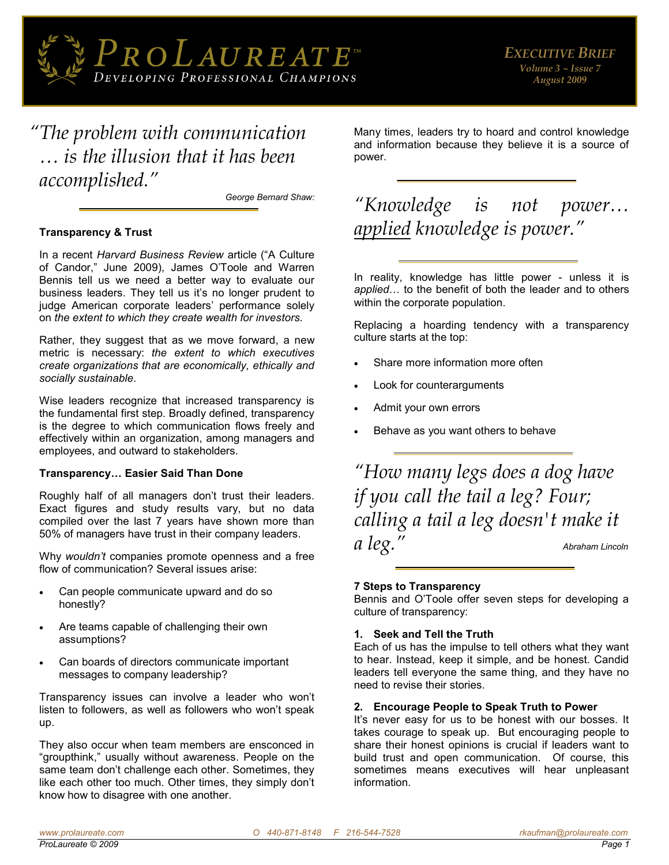

*"The problem with communication … is the illusion that it has been accomplished."*

*[George Bernard Shaw:](http://www.wisdomquotes.com/003139.html)* 

# **Transparency & Trust**

In a recent *Harvard Business Review* article ("A Culture of Candor," June 2009), James O'Toole and Warren Bennis tell us we need a better way to evaluate our business leaders. They tell us it's no longer prudent to judge American corporate leaders' performance solely on *the extent to which they create wealth for investors.* 

Rather, they suggest that as we move forward, a new metric is necessary: *the extent to which executives create organizations that are economically, ethically and socially sustainable*.

Wise leaders recognize that increased transparency is the fundamental first step. Broadly defined, transparency is the degree to which communication flows freely and effectively within an organization, among managers and employees, and outward to stakeholders.

# **Transparency… Easier Said Than Done**

Roughly half of all managers don't trust their leaders. Exact figures and study results vary, but no data compiled over the last 7 years have shown more than 50% of managers have trust in their company leaders.

Why *wouldn't* companies promote openness and a free flow of communication? Several issues arise:

- Can people communicate upward and do so honestly?
- Are teams capable of challenging their own assumptions?
- Can boards of directors communicate important messages to company leadership?

Transparency issues can involve a leader who won't listen to followers, as well as followers who won't speak up.

They also occur when team members are ensconced in "groupthink," usually without awareness. People on the same team don't challenge each other. Sometimes, they like each other too much. Other times, they simply don't know how to disagree with one another.

Many times, leaders try to hoard and control knowledge and information because they believe it is a source of power.

# *"Knowledge is not power… applied knowledge is power."*

In reality, knowledge has little power - unless it is *applied*… to the benefit of both the leader and to others within the corporate population.

Replacing a hoarding tendency with a transparency culture starts at the top:

- Share more information more often
- Look for counterarguments
- Admit your own errors
- Behave as you want others to behave

*"How many legs does a dog have if you call the tail a leg? Four; calling a tail a leg doesn't make it a leg." [Abraham Lincoln](http://www.wisdomquotes.com/000486.html)*

# **7 Steps to Transparency**

Bennis and O'Toole offer seven steps for developing a culture of transparency:

# **1. Seek and Tell the Truth**

Each of us has the impulse to tell others what they want to hear. Instead, keep it simple, and be honest. Candid leaders tell everyone the same thing, and they have no need to revise their stories.

# **2. Encourage People to Speak Truth to Power**

It's never easy for us to be honest with our bosses. It takes courage to speak up. But encouraging people to share their honest opinions is crucial if leaders want to build trust and open communication. Of course, this sometimes means executives will hear unpleasant information.